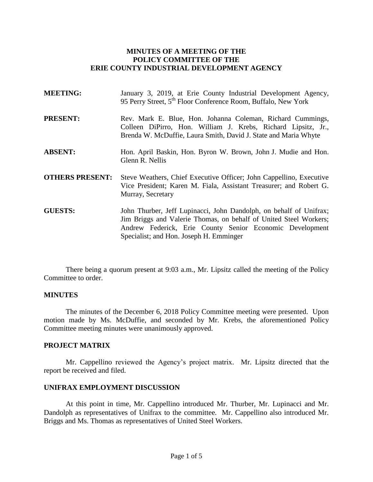## **MINUTES OF A MEETING OF THE POLICY COMMITTEE OF THE ERIE COUNTY INDUSTRIAL DEVELOPMENT AGENCY**

| <b>MEETING:</b>        | January 3, 2019, at Erie County Industrial Development Agency,<br>95 Perry Street, 5 <sup>th</sup> Floor Conference Room, Buffalo, New York                                                         |
|------------------------|-----------------------------------------------------------------------------------------------------------------------------------------------------------------------------------------------------|
| <b>PRESENT:</b>        | Rev. Mark E. Blue, Hon. Johanna Coleman, Richard Cummings,<br>Colleen DiPirro, Hon. William J. Krebs, Richard Lipsitz, Jr.,<br>Brenda W. McDuffie, Laura Smith, David J. State and Maria Whyte      |
| <b>ABSENT:</b>         | Hon. April Baskin, Hon. Byron W. Brown, John J. Mudie and Hon.<br>Glenn R. Nellis                                                                                                                   |
| <b>OTHERS PRESENT:</b> | Steve Weathers, Chief Executive Officer; John Cappellino, Executive<br>Vice President; Karen M. Fiala, Assistant Treasurer; and Robert G.<br>Murray, Secretary                                      |
| <b>GUESTS:</b>         | John Thurber, Jeff Lupinacci, John Dandolph, on behalf of Unifrax;<br>Jim Briggs and Valerie Thomas, on behalf of United Steel Workers;<br>Andrew Federick, Erie County Senior Economic Development |

There being a quorum present at 9:03 a.m., Mr. Lipsitz called the meeting of the Policy Committee to order.

Specialist; and Hon. Joseph H. Emminger

## **MINUTES**

The minutes of the December 6, 2018 Policy Committee meeting were presented. Upon motion made by Ms. McDuffie, and seconded by Mr. Krebs, the aforementioned Policy Committee meeting minutes were unanimously approved.

## **PROJECT MATRIX**

Mr. Cappellino reviewed the Agency's project matrix. Mr. Lipsitz directed that the report be received and filed.

## **UNIFRAX EMPLOYMENT DISCUSSION**

At this point in time, Mr. Cappellino introduced Mr. Thurber, Mr. Lupinacci and Mr. Dandolph as representatives of Unifrax to the committee. Mr. Cappellino also introduced Mr. Briggs and Ms. Thomas as representatives of United Steel Workers.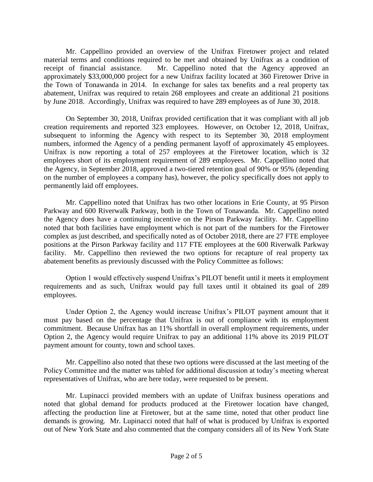Mr. Cappellino provided an overview of the Unifrax Firetower project and related material terms and conditions required to be met and obtained by Unifrax as a condition of receipt of financial assistance. Mr. Cappellino noted that the Agency approved an approximately \$33,000,000 project for a new Unifrax facility located at 360 Firetower Drive in the Town of Tonawanda in 2014. In exchange for sales tax benefits and a real property tax abatement, Unifrax was required to retain 268 employees and create an additional 21 positions by June 2018. Accordingly, Unifrax was required to have 289 employees as of June 30, 2018.

On September 30, 2018, Unifrax provided certification that it was compliant with all job creation requirements and reported 323 employees. However, on October 12, 2018, Unifrax, subsequent to informing the Agency with respect to its September 30, 2018 employment numbers, informed the Agency of a pending permanent layoff of approximately 45 employees. Unifrax is now reporting a total of 257 employees at the Firetower location, which is 32 employees short of its employment requirement of 289 employees. Mr. Cappellino noted that the Agency, in September 2018, approved a two-tiered retention goal of 90% or 95% (depending on the number of employees a company has), however, the policy specifically does not apply to permanently laid off employees.

Mr. Cappellino noted that Unifrax has two other locations in Erie County, at 95 Pirson Parkway and 600 Riverwalk Parkway, both in the Town of Tonawanda. Mr. Cappellino noted the Agency does have a continuing incentive on the Pirson Parkway facility. Mr. Cappellino noted that both facilities have employment which is not part of the numbers for the Firetower complex as just described, and specifically noted as of October 2018, there are 27 FTE employee positions at the Pirson Parkway facility and 117 FTE employees at the 600 Riverwalk Parkway facility. Mr. Cappellino then reviewed the two options for recapture of real property tax abatement benefits as previously discussed with the Policy Committee as follows:

Option 1 would effectively suspend Unifrax's PILOT benefit until it meets it employment requirements and as such, Unifrax would pay full taxes until it obtained its goal of 289 employees.

Under Option 2, the Agency would increase Unifrax's PILOT payment amount that it must pay based on the percentage that Unifrax is out of compliance with its employment commitment. Because Unifrax has an 11% shortfall in overall employment requirements, under Option 2, the Agency would require Unifrax to pay an additional 11% above its 2019 PILOT payment amount for county, town and school taxes.

Mr. Cappellino also noted that these two options were discussed at the last meeting of the Policy Committee and the matter was tabled for additional discussion at today's meeting whereat representatives of Unifrax, who are here today, were requested to be present.

Mr. Lupinacci provided members with an update of Unifrax business operations and noted that global demand for products produced at the Firetower location have changed, affecting the production line at Firetower, but at the same time, noted that other product line demands is growing. Mr. Lupinacci noted that half of what is produced by Unifrax is exported out of New York State and also commented that the company considers all of its New York State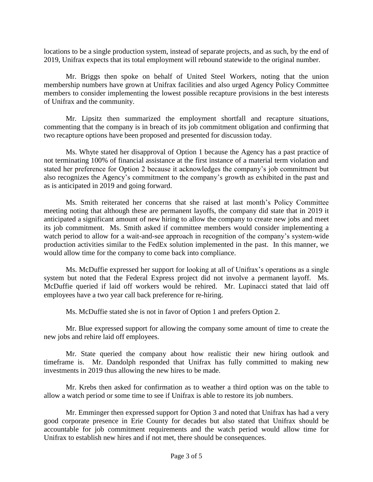locations to be a single production system, instead of separate projects, and as such, by the end of 2019, Unifrax expects that its total employment will rebound statewide to the original number.

Mr. Briggs then spoke on behalf of United Steel Workers, noting that the union membership numbers have grown at Unifrax facilities and also urged Agency Policy Committee members to consider implementing the lowest possible recapture provisions in the best interests of Unifrax and the community.

Mr. Lipsitz then summarized the employment shortfall and recapture situations, commenting that the company is in breach of its job commitment obligation and confirming that two recapture options have been proposed and presented for discussion today.

Ms. Whyte stated her disapproval of Option 1 because the Agency has a past practice of not terminating 100% of financial assistance at the first instance of a material term violation and stated her preference for Option 2 because it acknowledges the company's job commitment but also recognizes the Agency's commitment to the company's growth as exhibited in the past and as is anticipated in 2019 and going forward.

Ms. Smith reiterated her concerns that she raised at last month's Policy Committee meeting noting that although these are permanent layoffs, the company did state that in 2019 it anticipated a significant amount of new hiring to allow the company to create new jobs and meet its job commitment. Ms. Smith asked if committee members would consider implementing a watch period to allow for a wait-and-see approach in recognition of the company's system-wide production activities similar to the FedEx solution implemented in the past. In this manner, we would allow time for the company to come back into compliance.

Ms. McDuffie expressed her support for looking at all of Unifrax's operations as a single system but noted that the Federal Express project did not involve a permanent layoff. Ms. McDuffie queried if laid off workers would be rehired. Mr. Lupinacci stated that laid off employees have a two year call back preference for re-hiring.

Ms. McDuffie stated she is not in favor of Option 1 and prefers Option 2.

Mr. Blue expressed support for allowing the company some amount of time to create the new jobs and rehire laid off employees.

Mr. State queried the company about how realistic their new hiring outlook and timeframe is. Mr. Dandolph responded that Unifrax has fully committed to making new investments in 2019 thus allowing the new hires to be made.

Mr. Krebs then asked for confirmation as to weather a third option was on the table to allow a watch period or some time to see if Unifrax is able to restore its job numbers.

Mr. Emminger then expressed support for Option 3 and noted that Unifrax has had a very good corporate presence in Erie County for decades but also stated that Unifrax should be accountable for job commitment requirements and the watch period would allow time for Unifrax to establish new hires and if not met, there should be consequences.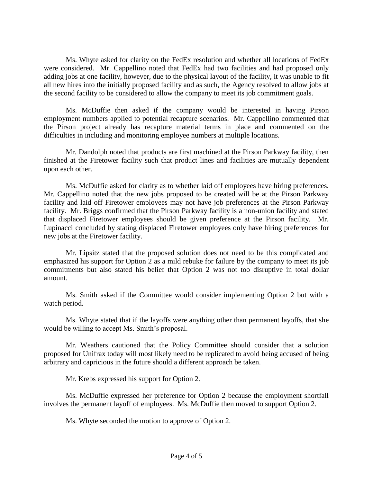Ms. Whyte asked for clarity on the FedEx resolution and whether all locations of FedEx were considered. Mr. Cappellino noted that FedEx had two facilities and had proposed only adding jobs at one facility, however, due to the physical layout of the facility, it was unable to fit all new hires into the initially proposed facility and as such, the Agency resolved to allow jobs at the second facility to be considered to allow the company to meet its job commitment goals.

Ms. McDuffie then asked if the company would be interested in having Pirson employment numbers applied to potential recapture scenarios. Mr. Cappellino commented that the Pirson project already has recapture material terms in place and commented on the difficulties in including and monitoring employee numbers at multiple locations.

Mr. Dandolph noted that products are first machined at the Pirson Parkway facility, then finished at the Firetower facility such that product lines and facilities are mutually dependent upon each other.

Ms. McDuffie asked for clarity as to whether laid off employees have hiring preferences. Mr. Cappellino noted that the new jobs proposed to be created will be at the Pirson Parkway facility and laid off Firetower employees may not have job preferences at the Pirson Parkway facility. Mr. Briggs confirmed that the Pirson Parkway facility is a non-union facility and stated that displaced Firetower employees should be given preference at the Pirson facility. Mr. Lupinacci concluded by stating displaced Firetower employees only have hiring preferences for new jobs at the Firetower facility.

Mr. Lipsitz stated that the proposed solution does not need to be this complicated and emphasized his support for Option 2 as a mild rebuke for failure by the company to meet its job commitments but also stated his belief that Option 2 was not too disruptive in total dollar amount.

Ms. Smith asked if the Committee would consider implementing Option 2 but with a watch period.

Ms. Whyte stated that if the layoffs were anything other than permanent layoffs, that she would be willing to accept Ms. Smith's proposal.

Mr. Weathers cautioned that the Policy Committee should consider that a solution proposed for Unifrax today will most likely need to be replicated to avoid being accused of being arbitrary and capricious in the future should a different approach be taken.

Mr. Krebs expressed his support for Option 2.

Ms. McDuffie expressed her preference for Option 2 because the employment shortfall involves the permanent layoff of employees. Ms. McDuffie then moved to support Option 2.

Ms. Whyte seconded the motion to approve of Option 2.